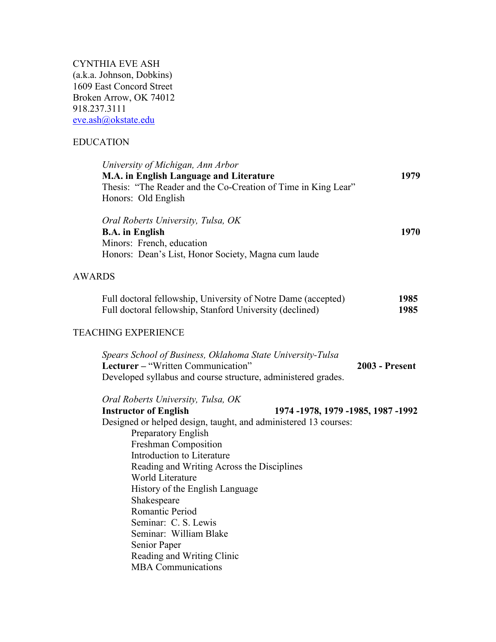CYNTHIA EVE ASH (a.k.a. Johnson, Dobkins) 1609 East Concord Street Broken Arrow, OK 74012 918.237.3111 [eve.ash@okstate.edu](mailto:eve.ash@okstate.edu)

World Literature

Shakespeare Romantic Period Seminar: C. S. Lewis Seminar: William Blake

Senior Paper

History of the English Language

Reading and Writing Clinic MBA Communications

# EDUCATION

| University of Michigan, Ann Arbor<br>M.A. in English Language and Literature                                                                                      | 1979                  |
|-------------------------------------------------------------------------------------------------------------------------------------------------------------------|-----------------------|
| Thesis: "The Reader and the Co-Creation of Time in King Lear"<br>Honors: Old English                                                                              |                       |
| Oral Roberts University, Tulsa, OK<br><b>B.A.</b> in English                                                                                                      | 1970                  |
| Minors: French, education<br>Honors: Dean's List, Honor Society, Magna cum laude                                                                                  |                       |
| <b>AWARDS</b>                                                                                                                                                     |                       |
| Full doctoral fellowship, University of Notre Dame (accepted)<br>Full doctoral fellowship, Stanford University (declined)                                         | 1985<br>1985          |
| <b>TEACHING EXPERIENCE</b>                                                                                                                                        |                       |
| Spears School of Business, Oklahoma State University-Tulsa<br>Lecturer – "Written Communication"<br>Developed syllabus and course structure, administered grades. | <b>2003 - Present</b> |
| Oral Roberts University, Tulsa, OK<br><b>Instructor of English</b><br>1974 -1978, 1979 -1985, 1987 -1992                                                          |                       |
| Designed or helped design, taught, and administered 13 courses:<br>Preparatory English                                                                            |                       |
| Freshman Composition                                                                                                                                              |                       |
| Introduction to Literature                                                                                                                                        |                       |
| Reading and Writing Across the Disciplines                                                                                                                        |                       |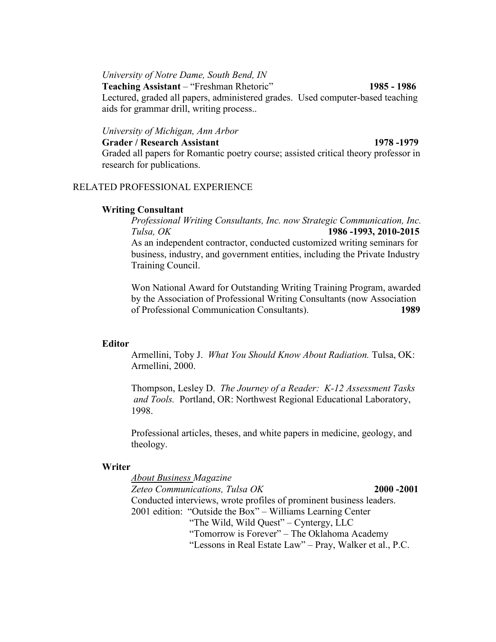*University of Notre Dame, South Bend, IN*

**Teaching Assistant** – "Freshman Rhetoric" **1985 - 1986** Lectured, graded all papers, administered grades. Used computer-based teaching aids for grammar drill, writing process..

# *University of Michigan, Ann Arbor*

#### **Grader / Research Assistant 1978 -1979**

Graded all papers for Romantic poetry course; assisted critical theory professor in research for publications.

# RELATED PROFESSIONAL EXPERIENCE

## **Writing Consultant**

*Professional Writing Consultants, Inc. now Strategic Communication, Inc. Tulsa, OK* **1986 -1993, 2010-2015** As an independent contractor, conducted customized writing seminars for business, industry, and government entities, including the Private Industry Training Council.

Won National Award for Outstanding Writing Training Program, awarded by the Association of Professional Writing Consultants (now Association of Professional Communication Consultants). **1989**

## **Editor**

Armellini, Toby J. *What You Should Know About Radiation.* Tulsa, OK: Armellini, 2000.

Thompson, Lesley D. *The Journey of a Reader: K-12 Assessment Tasks and Tools.* Portland, OR: Northwest Regional Educational Laboratory, 1998.

Professional articles, theses, and white papers in medicine, geology, and theology.

## **Writer**

*About Business Magazine Zeteo Communications, Tulsa OK* **2000 -2001** Conducted interviews, wrote profiles of prominent business leaders. 2001 edition: "Outside the Box" – Williams Learning Center "The Wild, Wild Quest" – Cyntergy, LLC "Tomorrow is Forever" – The Oklahoma Academy "Lessons in Real Estate Law" – Pray, Walker et al., P.C.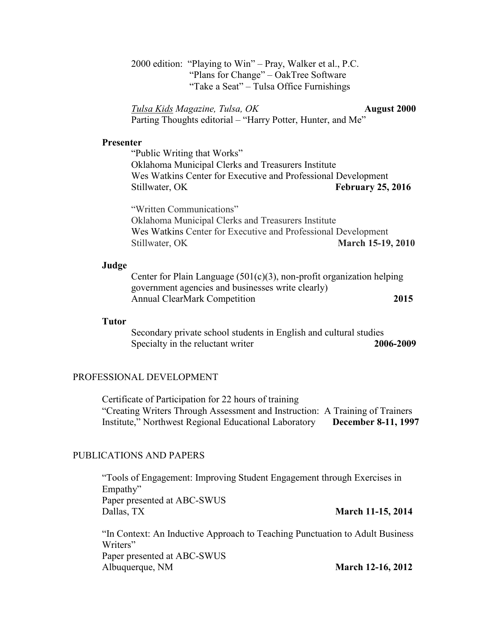2000 edition: "Playing to Win" – Pray, Walker et al., P.C. "Plans for Change" – OakTree Software "Take a Seat" – Tulsa Office Furnishings

*Tulsa Kids Magazine, Tulsa, OK* **August 2000** Parting Thoughts editorial – "Harry Potter, Hunter, and Me"

### **Presenter**

"Public Writing that Works" Oklahoma Municipal Clerks and Treasurers Institute Wes Watkins Center for Executive and Professional Development Stillwater, OK **February 25, 2016** 

"Written Communications" Oklahoma Municipal Clerks and Treasurers Institute Wes Watkins Center for Executive and Professional Development Stillwater, OK **March 15-19, 2010** 

#### **Judge**

Center for Plain Language  $(501(c)(3))$ , non-profit organization helping government agencies and businesses write clearly) Annual ClearMark Competition **2015**

#### **Tutor**

Secondary private school students in English and cultural studies Specialty in the reluctant writer **2006-2009** 

### PROFESSIONAL DEVELOPMENT

Certificate of Participation for 22 hours of training "Creating Writers Through Assessment and Instruction: A Training of Trainers Institute," Northwest Regional Educational Laboratory **December 8-11, 1997**

# PUBLICATIONS AND PAPERS

"Tools of Engagement: Improving Student Engagement through Exercises in Empathy" Paper presented at ABC-SWUS Dallas, TX **March 11-15, 2014**

"In Context: An Inductive Approach to Teaching Punctuation to Adult Business Writers" Paper presented at ABC-SWUS Albuquerque, NM **March 12-16, 2012**